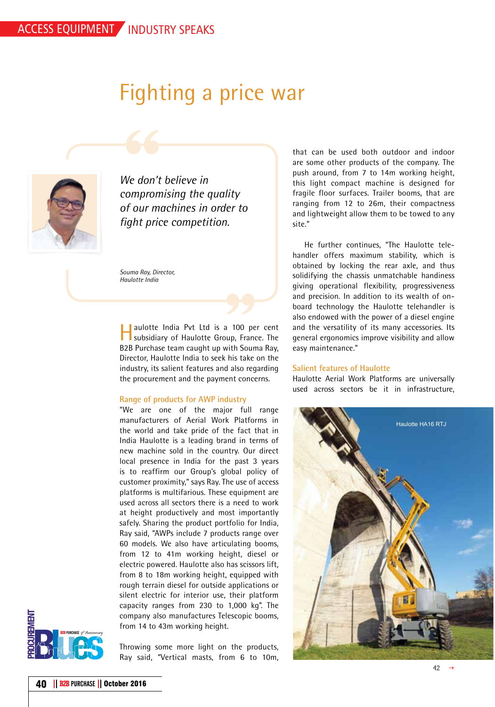# Fighting a price war



*We don't believe in compromising the quality of our machines in order to fight price competition.*

*Souma Ray, Director, Haulotte India*

Haulotte India Pvt Ltd is a 100 per cent subsidiary of Haulotte Group, France. The B2B Purchase team caught up with Souma Ray, Director, Haulotte India to seek his take on the industry, its salient features and also regarding the procurement and the payment concerns.

### **Range of products for AWP industry**

"We are one of the major full range manufacturers of Aerial Work Platforms in the world and take pride of the fact that in India Haulotte is a leading brand in terms of new machine sold in the country. Our direct local presence in India for the past 3 years is to reaffirm our Group's global policy of customer proximity," says Ray. The use of access platforms is multifarious. These equipment are used across all sectors there is a need to work at height productively and most importantly safely. Sharing the product portfolio for India, Ray said, "AWPs include 7 products range over 60 models. We also have articulating booms, from 12 to 41m working height, diesel or electric powered. Haulotte also has scissors lift, from 8 to 18m working height, equipped with rough terrain diesel for outside applications or silent electric for interior use, their platform capacity ranges from 230 to 1,000 kg". The company also manufactures Telescopic booms, from 14 to 43m working height.



Throwing some more light on the products, Ray said, "Vertical masts, from 6 to 10m,

that can be used both outdoor and indoor are some other products of the company. The push around, from 7 to 14m working height, this light compact machine is designed for fragile floor surfaces. Trailer booms, that are ranging from 12 to 26m, their compactness and lightweight allow them to be towed to any site."

He further continues, "The Haulotte telehandler offers maximum stability, which is obtained by locking the rear axle, and thus solidifying the chassis unmatchable handiness giving operational flexibility, progressiveness and precision. In addition to its wealth of onboard technology the Haulotte telehandler is also endowed with the power of a diesel engine and the versatility of its many accessories. Its general ergonomics improve visibility and allow easy maintenance."

## **Salient features of Haulotte**

Haulotte Aerial Work Platforms are universally used across sectors be it in infrastructure,